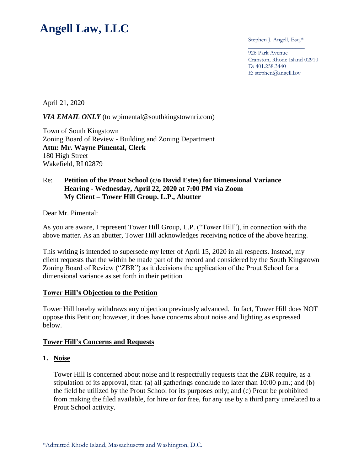# **Angell Law, LLC**

Stephen J. Angell, Esq.\* \_\_\_\_\_\_\_\_\_\_\_\_\_\_\_\_\_\_\_

926 Park Avenue Cranston, Rhode Island 02910 D: 401.258.3440 E: stephen@angell.law

April 21, 2020

#### *VIA EMAIL ONLY* (to wpimental@southkingstownri.com)

Town of South Kingstown Zoning Board of Review - Building and Zoning Department **Attn: Mr. Wayne Pimental, Clerk** 180 High Street Wakefield, RI 02879

#### Re: **Petition of the Prout School (c/o David Estes) for Dimensional Variance Hearing - Wednesday, April 22, 2020 at 7:00 PM via Zoom My Client – Tower Hill Group. L.P., Abutter**

Dear Mr. Pimental:

As you are aware, I represent Tower Hill Group, L.P. ("Tower Hill"), in connection with the above matter. As an abutter, Tower Hill acknowledges receiving notice of the above hearing.

This writing is intended to supersede my letter of April 15, 2020 in all respects. Instead, my client requests that the within be made part of the record and considered by the South Kingstown Zoning Board of Review ("ZBR") as it decisions the application of the Prout School for a dimensional variance as set forth in their petition

#### **Tower Hill's Objection to the Petition**

Tower Hill hereby withdraws any objection previously advanced. In fact, Tower Hill does NOT oppose this Petition; however, it does have concerns about noise and lighting as expressed below.

#### **Tower Hill's Concerns and Requests**

#### **1. Noise**

Tower Hill is concerned about noise and it respectfully requests that the ZBR require, as a stipulation of its approval, that: (a) all gatherings conclude no later than 10:00 p.m.; and (b) the field be utilized by the Prout School for its purposes only; and (c) Prout be prohibited from making the filed available, for hire or for free, for any use by a third party unrelated to a Prout School activity.